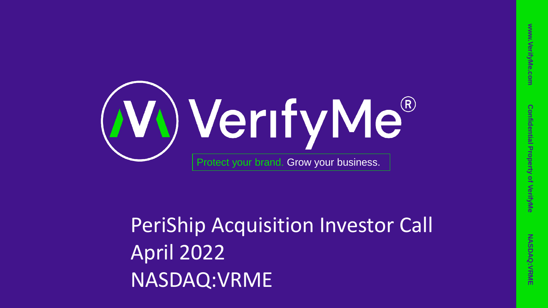



### PeriShip Acquisition Investor Call April 2022 NASDAQ:VRME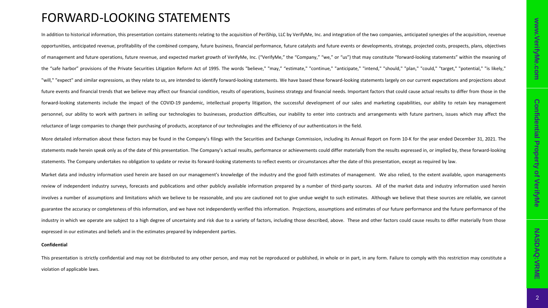### **Confidential Confidential Property of VerifyMe Property** of VerifyMe

#### FORWARD-LOOKING STATEMENTS

In addition to historical information, this presentation contains statements relating to the acquisition of PeriShip, LLC by VerifyMe, Inc. and integration of the two companies, anticipated synergies of the acquisition, re opportunities, anticipated revenue, profitability of the combined company, future business, financial performance, future catalysts and future events or developments, strategy, projected costs, prospects, plans, objectives of management and future operations, future revenue, and expected market growth of VerifyMe, Inc. ("VerifyMe," the "Company," "we," or "us") that may constitute "forward-looking statements" within the meaning of the "safe harbor" provisions of the Private Securities Litigation Reform Act of 1995. The words "believe," "may," "estimate," "continue," "anticipate," "intend," "should," "plan," "could," "target," "potential," "is likely," "will," "expect" and similar expressions, as they relate to us, are intended to identify forward-looking statements. We have based these forward-looking statements largely on our current expectations and projections about future events and financial trends that we believe may affect our financial condition, results of operations, business strategy and financial needs, Important factors that could cause actual results to differ from those in forward-looking statements include the impact of the COVID-19 pandemic, intellectual property litigation, the successful development of our sales and marketing capabilities, our ability to retain key management personnel, our ability to work with partners in selling our technologies to businesses, production difficulties, our inability to enter into contracts and arrangements with future partners, issues which may affect the reluctance of large companies to change their purchasing of products, acceptance of our technologies and the efficiency of our authenticators in the field.

More detailed information about these factors may be found in the Company's filings with the Securities and Exchange Commission, including its Annual Report on Form 10-K for the year ended December 31, 2021. The statements made herein speak only as of the date of this presentation. The Company's actual results, performance or achievements could differ materially from the results expressed in, or implied by, these forward-looking statements. The Company undertakes no obligation to update or revise its forward-looking statements to reflect events or circumstances after the date of this presentation, except as required by law.

Market data and industry information used herein are based on our management's knowledge of the industry and the good faith estimates of management. We also relied, to the extent available, upon managements review of independent industry surveys, forecasts and publications and other publicly available information prepared by a number of third-party sources. All of the market data and industry information used herein involves a number of assumptions and limitations which we believe to be reasonable, and you are cautioned not to give undue weight to such estimates. Although we believe that these sources are reliable, we cannot guarantee the accuracy or completeness of this information, and we have not independently verified this information. Projections, assumptions and estimates of our future performance and the future performance of the industry in which we operate are subject to a high degree of uncertainty and risk due to a variety of factors, including those described, above. These and other factors could cause results to differ materially from those expressed in our estimates and beliefs and in the estimates prepared by independent parties.

#### **Confidential**

This presentation is strictly confidential and may not be distributed to any other person, and may not be reproduced or published, in whole or in part, in any form. Failure to comply with this restriction may constitute a violation of applicable laws.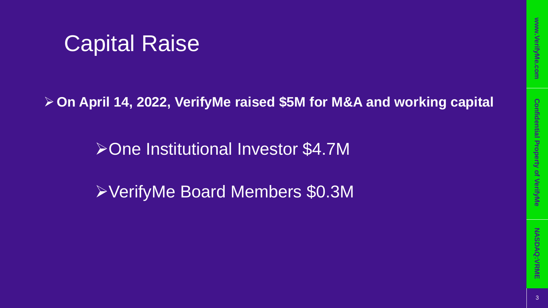# **Confidential Property of VerifyMe Confidential Property of VerifyMe**

### Capital Raise

➢**On April 14, 2022, VerifyMe raised \$5M for M&A and working capital**

➢One Institutional Investor \$4.7M

➢VerifyMe Board Members \$0.3M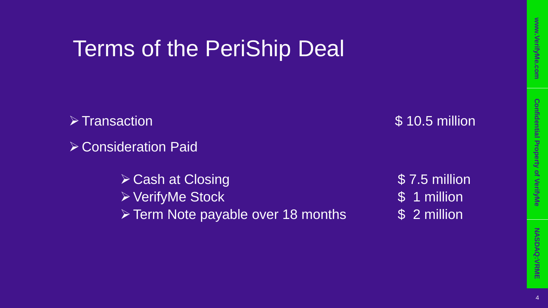### Terms of the PeriShip Deal

➢Transaction \$ 10.5 million

➢Consideration Paid

➢Cash at Closing \$ 7.5 million ➢VerifyMe Stock \$ 1 million ➢Term Note payable over 18 months \$ 2 million

**www.VerifyMe.com**

www.VerifyMe.com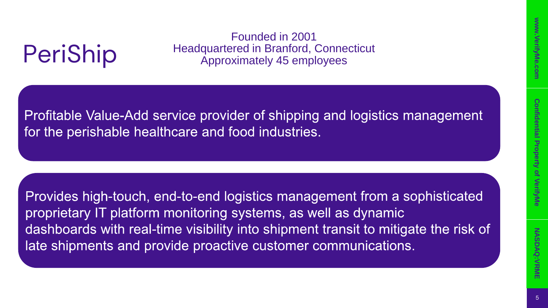# 5**www.VerifyMe.com Confidential Property of VerifyMe NASDAQ:VRME Confidential Property** of VerifyMe

### PeriShip

Founded in 2001 Headquartered in Branford, Connecticut Approximately 45 employees

Profitable Value-Add service provider of shipping and logistics management for the perishable healthcare and food industries.

Provides high-touch, end-to-end logistics management from a sophisticated proprietary IT platform monitoring systems, as well as dynamic dashboards with real-time visibility into shipment transit to mitigate the risk of late shipments and provide proactive customer communications.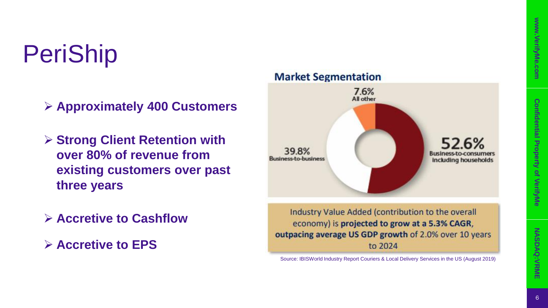# **Confidential Property of VerifyMe Confidential Property of VerifyMe**

## PeriShip

➢ **Approximately 400 Customers**

- ➢ **Strong Client Retention with over 80% of revenue from existing customers over past three years**
- ➢ **Accretive to Cashflow**
- ➢ **Accretive to EPS**



Source: IBISWorld Industry Report Couriers & Local Delivery Services in the US (August 2019)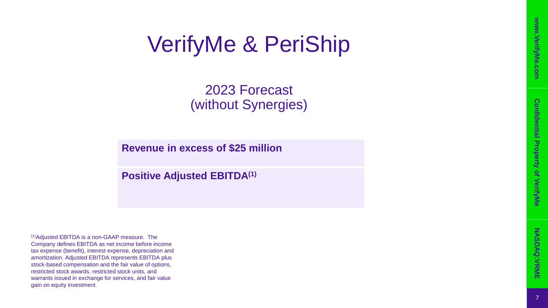### VerifyMe & PeriShip

2023 Forecast (without Synergies)

**Revenue in excess of \$25 million**

**Positive Adjusted EBITDA(1)**

(1)Adjusted EBITDA is a non -GAAP measure. The Company defines EBITDA as net income before income tax expense (benefit), interest expense, depreciation and amortization. Adjusted EBITDA represents EBITDA plus stock -based compensation and the fair value of options, restricted stock awards, restricted stock units, and warrants issued in exchange for services, and fair value gain on equity investment.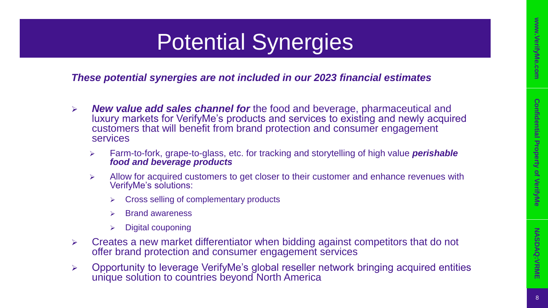# 8**www.VerifyMe.com Confidential Property of VerifyMe NASDAQ:VRME Confidential Property** of VerifyMe

### Potential Synergies

*These potential synergies are not included in our 2023 financial estimates*

- ➢ *New value add sales channel for* the food and beverage, pharmaceutical and luxury markets for VerifyMe's products and services to existing and newly acquired customers that will benefit from brand protection and consumer engagement services
	- ➢ Farm-to-fork, grape-to-glass, etc. for tracking and storytelling of high value *perishable food and beverage products*
	- ➢ Allow for acquired customers to get closer to their customer and enhance revenues with VerifyMe's solutions:
		- ➢ Cross selling of complementary products
		- ➢ Brand awareness
		- ➢ Digital couponing
- ➢ Creates a new market differentiator when bidding against competitors that do not offer brand protection and consumer engagement services
- ➢ Opportunity to leverage VerifyMe's global reseller network bringing acquired entities unique solution to countries beyond North America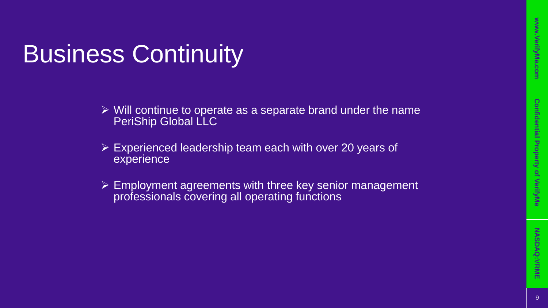# **Confidential Property of VerifyMe Confidential Property of VerifyMe**

### Business Continuity

- ➢ Will continue to operate as a separate brand under the name PeriShip Global LLC
- ➢ Experienced leadership team each with over 20 years of experience
- ➢ Employment agreements with three key senior management professionals covering all operating functions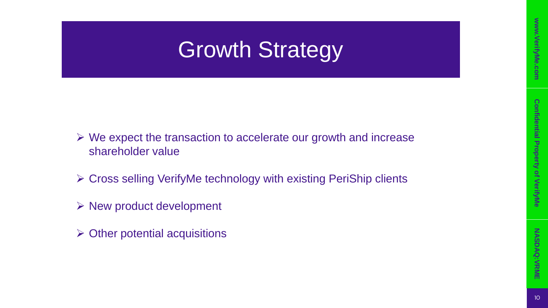### Growth Strategy

- ➢ We expect the transaction to accelerate our growth and increase shareholder value
- ➢ Cross selling VerifyMe technology with existing PeriShip clients
- $\triangleright$  New product development
- $\triangleright$  Other potential acquisitions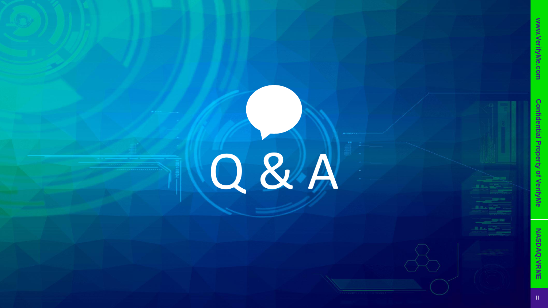